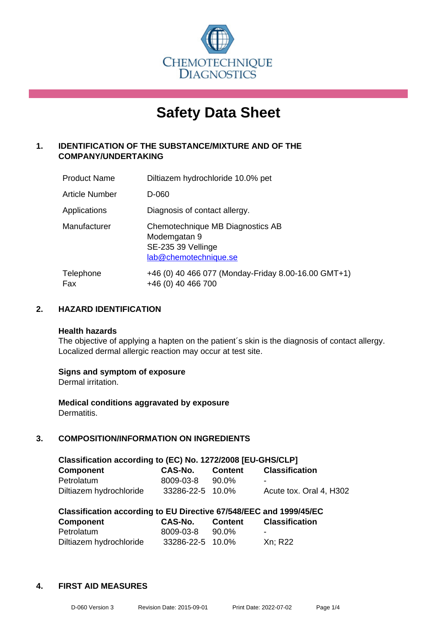

# **Safety Data Sheet**

## **1. IDENTIFICATION OF THE SUBSTANCE/MIXTURE AND OF THE COMPANY/UNDERTAKING**

| <b>Product Name</b> | Diltiazem hydrochloride 10.0% pet                                                               |
|---------------------|-------------------------------------------------------------------------------------------------|
| Article Number      | D-060                                                                                           |
| Applications        | Diagnosis of contact allergy.                                                                   |
| Manufacturer        | Chemotechnique MB Diagnostics AB<br>Modemgatan 9<br>SE-235 39 Vellinge<br>lab@chemotechnique.se |
| Telephone<br>Fax    | +46 (0) 40 466 077 (Monday-Friday 8.00-16.00 GMT+1)<br>+46 (0) 40 466 700                       |

## **2. HAZARD IDENTIFICATION**

#### **Health hazards**

The objective of applying a hapten on the patient's skin is the diagnosis of contact allergy. Localized dermal allergic reaction may occur at test site.

## **Signs and symptom of exposure**

Dermal irritation.

**Medical conditions aggravated by exposure** Dermatitis.

## **3. COMPOSITION/INFORMATION ON INGREDIENTS**

| Classification according to (EC) No. 1272/2008 [EU-GHS/CLP] |                  |         |                         |  |  |
|-------------------------------------------------------------|------------------|---------|-------------------------|--|--|
| <b>Component</b>                                            | <b>CAS-No.</b>   | Content | <b>Classification</b>   |  |  |
| Petrolatum                                                  | 8009-03-8        | 90.0%   | $\blacksquare$          |  |  |
| Diltiazem hydrochloride                                     | 33286-22-5 10.0% |         | Acute tox. Oral 4, H302 |  |  |

| Classification according to EU Directive 67/548/EEC and 1999/45/EC |                  |         |                       |  |  |
|--------------------------------------------------------------------|------------------|---------|-----------------------|--|--|
| Component                                                          | <b>CAS-No.</b>   | Content | <b>Classification</b> |  |  |
| Petrolatum                                                         | 8009-03-8        | 90.0%   | $\sim$                |  |  |
| Diltiazem hydrochloride                                            | 33286-22-5 10.0% |         | Xn: R22               |  |  |

## **4. FIRST AID MEASURES**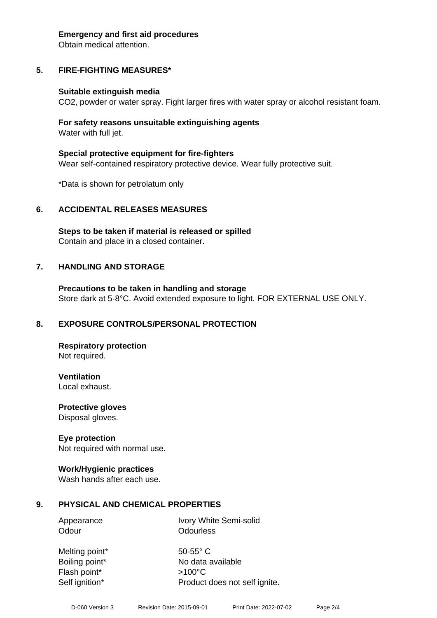#### **Emergency and first aid procedures**

Obtain medical attention.

# **5. FIRE-FIGHTING MEASURES\***

## **Suitable extinguish media**

CO2, powder or water spray. Fight larger fires with water spray or alcohol resistant foam.

## **For safety reasons unsuitable extinguishing agents** Water with full jet.

**Special protective equipment for fire-fighters** Wear self-contained respiratory protective device. Wear fully protective suit.

\*Data is shown for petrolatum only

# **6. ACCIDENTAL RELEASES MEASURES**

**Steps to be taken if material is released or spilled** Contain and place in a closed container.

# **7. HANDLING AND STORAGE**

**Precautions to be taken in handling and storage** Store dark at 5-8°C. Avoid extended exposure to light. FOR EXTERNAL USE ONLY.

# **8. EXPOSURE CONTROLS/PERSONAL PROTECTION**

**Respiratory protection** Not required.

**Ventilation** Local exhaust.

**Protective gloves** Disposal gloves.

## **Eye protection**

Not required with normal use.

## **Work/Hygienic practices**

Wash hands after each use.

# **9. PHYSICAL AND CHEMICAL PROPERTIES**

Appearance Ivory White Semi-solid Odour **Odourless** 

Melting point\* 50-55° C Flash point\* >100°C

Boiling point\* No data available Self ignition\* Product does not self ignite.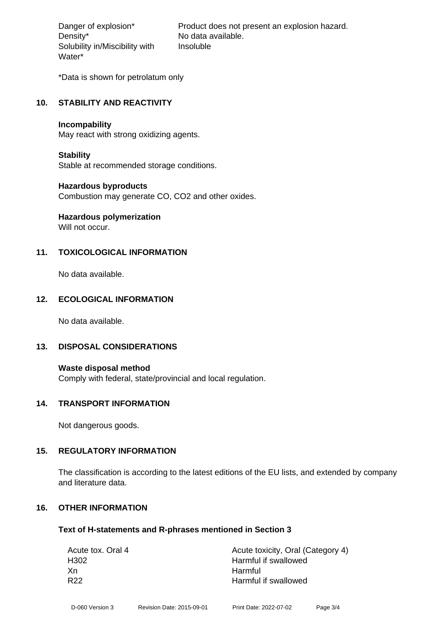Density\* No data available. Solubility in/Miscibility with Water\*

Danger of explosion\* Product does not present an explosion hazard. Insoluble

\*Data is shown for petrolatum only

## **10. STABILITY AND REACTIVITY**

#### **Incompability**

May react with strong oxidizing agents.

## **Stability**

Stable at recommended storage conditions.

## **Hazardous byproducts**

Combustion may generate CO, CO2 and other oxides.

# **Hazardous polymerization**

Will not occur.

## **11. TOXICOLOGICAL INFORMATION**

No data available.

## **12. ECOLOGICAL INFORMATION**

No data available.

## **13. DISPOSAL CONSIDERATIONS**

**Waste disposal method** Comply with federal, state/provincial and local regulation.

## **14. TRANSPORT INFORMATION**

Not dangerous goods.

## **15. REGULATORY INFORMATION**

The classification is according to the latest editions of the EU lists, and extended by company and literature data.

## **16. OTHER INFORMATION**

## **Text of H-statements and R-phrases mentioned in Section 3**

| Acute tox. Oral 4 | Acute toxicity, Oral (Category 4) |
|-------------------|-----------------------------------|
| H <sub>302</sub>  | Harmful if swallowed              |
| Xn                | Harmful                           |
| R <sub>22</sub>   | Harmful if swallowed              |
|                   |                                   |